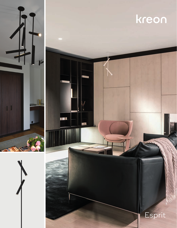